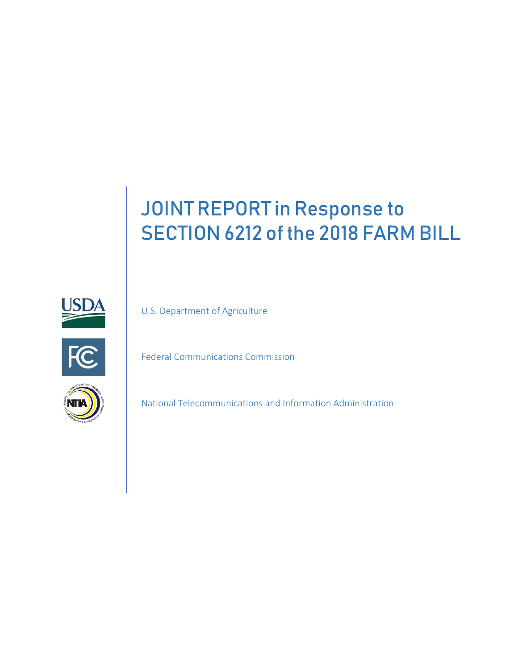# JOINT REPORT in Response to SECTION 6212 of the 2018 FARM BILL



U.S. Department of Agriculture



Federal Communications Commission



National Telecommunications and Information Administration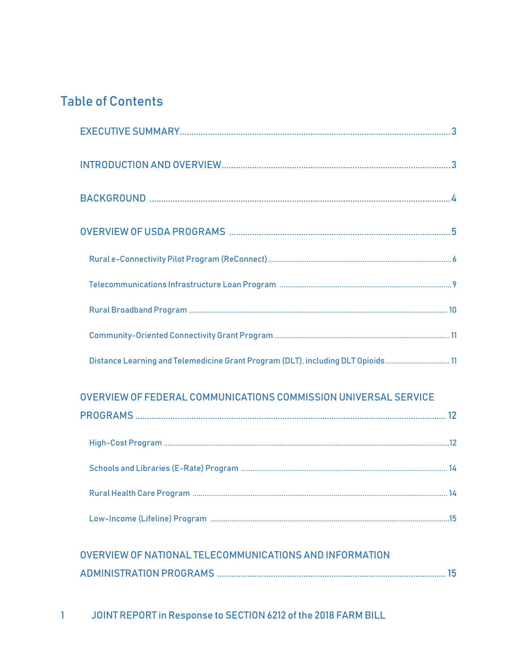# **Table of Contents**

| Distance Learning and Telemedicine Grant Program (DLT), including DLT Opioids 11 |
|----------------------------------------------------------------------------------|
| OVERVIEW OF FEDERAL COMMUNICATIONS COMMISSION UNIVERSAL SERVICE                  |

# OVERVIEW OF NATIONAL TELECOMMUNICATIONS AND INFORMATION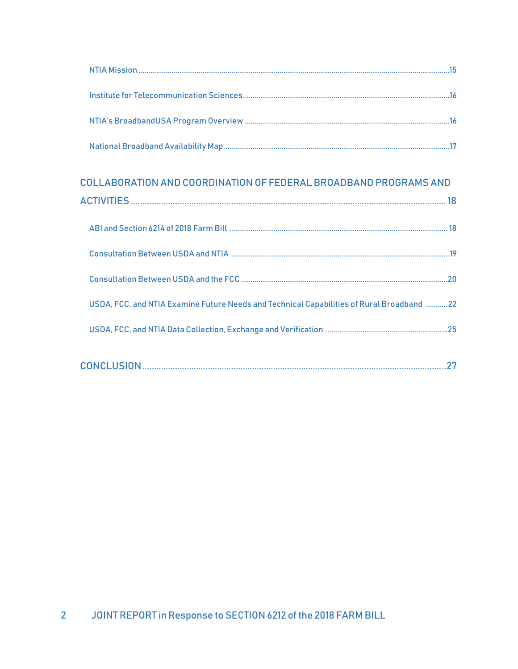# COLLABORATION AND COORDINATION OF FEDERAL BROADBAND PROGRAMS AND

| USDA, FCC, and NTIA Examine Future Needs and Technical Capabilities of Rural Broadband 22 |  |
|-------------------------------------------------------------------------------------------|--|
|                                                                                           |  |
|                                                                                           |  |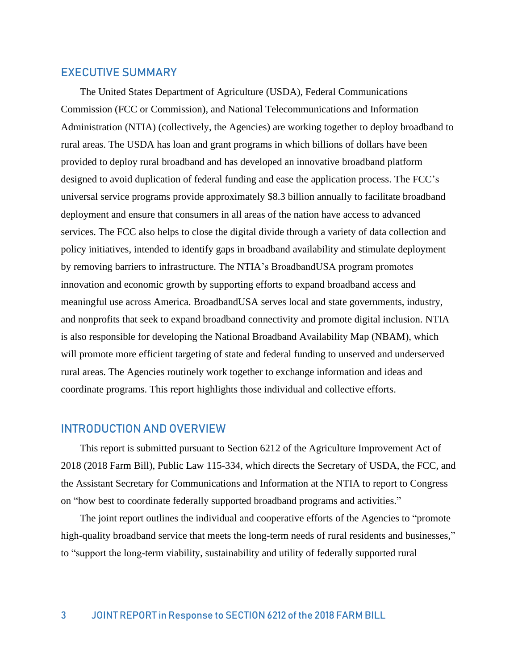### EXECUTIVE SUMMARY

The United States Department of Agriculture (USDA), Federal Communications Commission (FCC or Commission), and National Telecommunications and Information Administration (NTIA) (collectively, the Agencies) are working together to deploy broadband to rural areas. The USDA has loan and grant programs in which billions of dollars have been provided to deploy rural broadband and has developed an innovative broadband platform designed to avoid duplication of federal funding and ease the application process. The FCC's universal service programs provide approximately \$8.3 billion annually to facilitate broadband deployment and ensure that consumers in all areas of the nation have access to advanced services. The FCC also helps to close the digital divide through a variety of data collection and policy initiatives, intended to identify gaps in broadband availability and stimulate deployment by removing barriers to infrastructure. The NTIA's BroadbandUSA program promotes innovation and economic growth by supporting efforts to expand broadband access and meaningful use across America. BroadbandUSA serves local and state governments, industry, and nonprofits that seek to expand broadband connectivity and promote digital inclusion. NTIA is also responsible for developing the National Broadband Availability Map (NBAM), which will promote more efficient targeting of state and federal funding to unserved and underserved rural areas. The Agencies routinely work together to exchange information and ideas and coordinate programs. This report highlights those individual and collective efforts.

### INTRODUCTION AND OVERVIEW

This report is submitted pursuant to Section 6212 of the Agriculture Improvement Act of 2018 (2018 Farm Bill), Public Law 115-334, which directs the Secretary of USDA, the FCC, and the Assistant Secretary for Communications and Information at the NTIA to report to Congress on "how best to coordinate federally supported broadband programs and activities."

The joint report outlines the individual and cooperative efforts of the Agencies to "promote high-quality broadband service that meets the long-term needs of rural residents and businesses," to "support the long-term viability, sustainability and utility of federally supported rural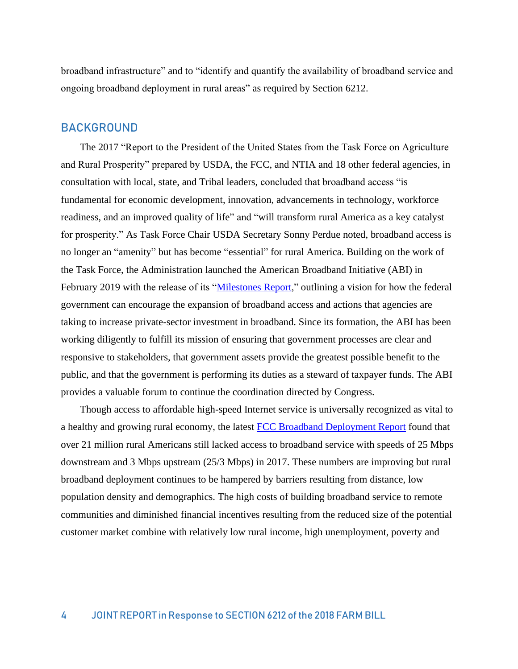broadband infrastructure" and to "identify and quantify the availability of broadband service and ongoing broadband deployment in rural areas" as required by Section 6212.

## BACKGROUND

The 2017 "Report to the President of the United States from the Task Force on Agriculture and Rural Prosperity" prepared by USDA, the FCC, and NTIA and 18 other federal agencies, in consultation with local, state, and Tribal leaders, concluded that broadband access "is fundamental for economic development, innovation, advancements in technology, workforce readiness, and an improved quality of life" and "will transform rural America as a key catalyst for prosperity." As Task Force Chair USDA Secretary Sonny Perdue noted, broadband access is no longer an "amenity" but has become "essential" for rural America. Building on the work of the Task Force, the Administration launched the American Broadband Initiative (ABI) in February 2019 with the release of its ["Milestones Report,](https://www.ntia.doc.gov/report/2019/american-broadband-initiative-milestones-report)" outlining a vision for how the federal government can encourage the expansion of broadband access and actions that agencies are taking to increase private-sector investment in broadband. Since its formation, the ABI has been working diligently to fulfill its mission of ensuring that government processes are clear and responsive to stakeholders, that government assets provide the greatest possible benefit to the public, and that the government is performing its duties as a steward of taxpayer funds. The ABI provides a valuable forum to continue the coordination directed by Congress.

Though access to affordable high-speed Internet service is universally recognized as vital to a healthy and growing rural economy, the latest **FCC Broadband Deployment Report** found that over 21 million rural Americans still lacked access to broadband service with speeds of 25 Mbps downstream and 3 Mbps upstream (25/3 Mbps) in 2017. These numbers are improving but rural broadband deployment continues to be hampered by barriers resulting from distance, low population density and demographics. The high costs of building broadband service to remote communities and diminished financial incentives resulting from the reduced size of the potential customer market combine with relatively low rural income, high unemployment, poverty and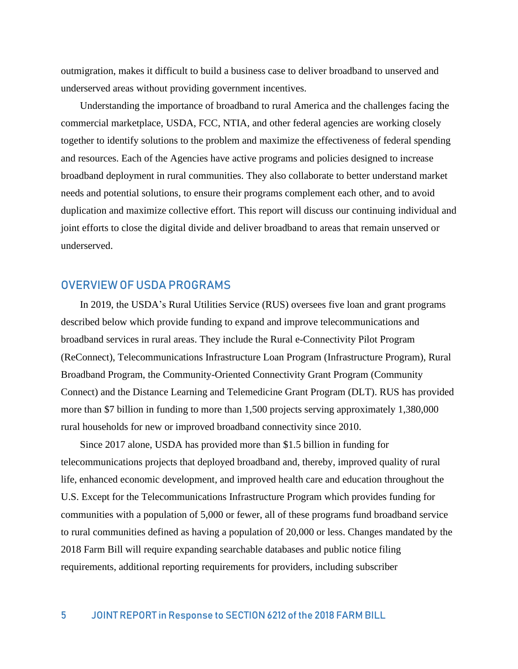outmigration, makes it difficult to build a business case to deliver broadband to unserved and underserved areas without providing government incentives.

Understanding the importance of broadband to rural America and the challenges facing the commercial marketplace, USDA, FCC, NTIA, and other federal agencies are working closely together to identify solutions to the problem and maximize the effectiveness of federal spending and resources. Each of the Agencies have active programs and policies designed to increase broadband deployment in rural communities. They also collaborate to better understand market needs and potential solutions, to ensure their programs complement each other, and to avoid duplication and maximize collective effort. This report will discuss our continuing individual and joint efforts to close the digital divide and deliver broadband to areas that remain unserved or underserved.

### OVERVIEW OF USDA PROGRAMS

In 2019, the USDA's Rural Utilities Service (RUS) oversees five loan and grant programs described below which provide funding to expand and improve telecommunications and broadband services in rural areas. They include the Rural e-Connectivity Pilot Program (ReConnect), Telecommunications Infrastructure Loan Program (Infrastructure Program), Rural Broadband Program, the Community-Oriented Connectivity Grant Program (Community Connect) and the Distance Learning and Telemedicine Grant Program (DLT). RUS has provided more than \$7 billion in funding to more than 1,500 projects serving approximately 1,380,000 rural households for new or improved broadband connectivity since 2010.

Since 2017 alone, USDA has provided more than \$1.5 billion in funding for telecommunications projects that deployed broadband and, thereby, improved quality of rural life, enhanced economic development, and improved health care and education throughout the U.S. Except for the Telecommunications Infrastructure Program which provides funding for communities with a population of 5,000 or fewer, all of these programs fund broadband service to rural communities defined as having a population of 20,000 or less. Changes mandated by the 2018 Farm Bill will require expanding searchable databases and public notice filing requirements, additional reporting requirements for providers, including subscriber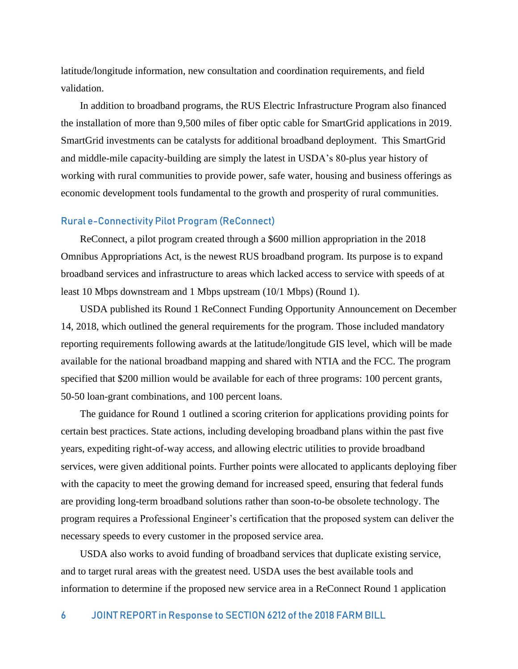latitude/longitude information, new consultation and coordination requirements, and field validation.

In addition to broadband programs, the RUS Electric Infrastructure Program also financed the installation of more than 9,500 miles of fiber optic cable for SmartGrid applications in 2019. SmartGrid investments can be catalysts for additional broadband deployment. This SmartGrid and middle-mile capacity-building are simply the latest in USDA's 80-plus year history of working with rural communities to provide power, safe water, housing and business offerings as economic development tools fundamental to the growth and prosperity of rural communities.

#### Rural e-Connectivity Pilot Program (ReConnect)

ReConnect, a pilot program created through a \$600 million appropriation in the 2018 Omnibus Appropriations Act, is the newest RUS broadband program. Its purpose is to expand broadband services and infrastructure to areas which lacked access to service with speeds of at least 10 Mbps downstream and 1 Mbps upstream (10/1 Mbps) (Round 1).

USDA published its Round 1 ReConnect Funding Opportunity Announcement on December 14, 2018, which outlined the general requirements for the program. Those included mandatory reporting requirements following awards at the latitude/longitude GIS level, which will be made available for the national broadband mapping and shared with NTIA and the FCC. The program specified that \$200 million would be available for each of three programs: 100 percent grants, 50-50 loan-grant combinations, and 100 percent loans.

The guidance for Round 1 outlined a scoring criterion for applications providing points for certain best practices. State actions, including developing broadband plans within the past five years, expediting right-of-way access, and allowing electric utilities to provide broadband services, were given additional points. Further points were allocated to applicants deploying fiber with the capacity to meet the growing demand for increased speed, ensuring that federal funds are providing long-term broadband solutions rather than soon-to-be obsolete technology. The program requires a Professional Engineer's certification that the proposed system can deliver the necessary speeds to every customer in the proposed service area.

USDA also works to avoid funding of broadband services that duplicate existing service, and to target rural areas with the greatest need. USDA uses the best available tools and information to determine if the proposed new service area in a ReConnect Round 1 application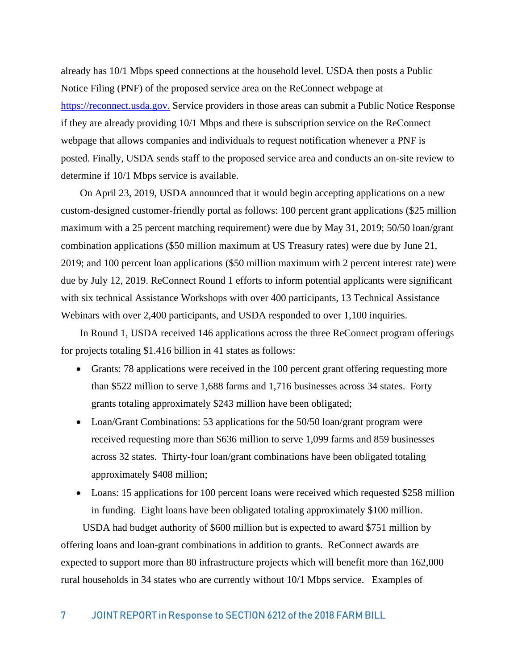already has 10/1 Mbps speed connections at the household level. USDA then posts a Public Notice Filing (PNF) of the proposed service area on the ReConnect webpage at [https://reconnect.usda.gov.](https://reconnect.usda.gov/) Service providers in those areas can submit a Public Notice Response if they are already providing 10/1 Mbps and there is subscription service on the ReConnect webpage that allows companies and individuals to request notification whenever a PNF is posted. Finally, USDA sends staff to the proposed service area and conducts an on-site review to determine if 10/1 Mbps service is available.

On April 23, 2019, USDA announced that it would begin accepting applications on a new custom-designed customer-friendly portal as follows: 100 percent grant applications (\$25 million maximum with a 25 percent matching requirement) were due by May 31, 2019; 50/50 loan/grant combination applications (\$50 million maximum at US Treasury rates) were due by June 21, 2019; and 100 percent loan applications (\$50 million maximum with 2 percent interest rate) were due by July 12, 2019. ReConnect Round 1 efforts to inform potential applicants were significant with six technical Assistance Workshops with over 400 participants, 13 Technical Assistance Webinars with over 2,400 participants, and USDA responded to over 1,100 inquiries.

In Round 1, USDA received 146 applications across the three ReConnect program offerings for projects totaling \$1.416 billion in 41 states as follows:

- Grants: 78 applications were received in the 100 percent grant offering requesting more than \$522 million to serve 1,688 farms and 1,716 businesses across 34 states. Forty grants totaling approximately \$243 million have been obligated;
- Loan/Grant Combinations: 53 applications for the 50/50 loan/grant program were received requesting more than \$636 million to serve 1,099 farms and 859 businesses across 32 states. Thirty-four loan/grant combinations have been obligated totaling approximately \$408 million;
- Loans: 15 applications for 100 percent loans were received which requested \$258 million in funding. Eight loans have been obligated totaling approximately \$100 million.

USDA had budget authority of \$600 million but is expected to award \$751 million by offering loans and loan-grant combinations in addition to grants. ReConnect awards are expected to support more than 80 infrastructure projects which will benefit more than 162,000 rural households in 34 states who are currently without 10/1 Mbps service. Examples of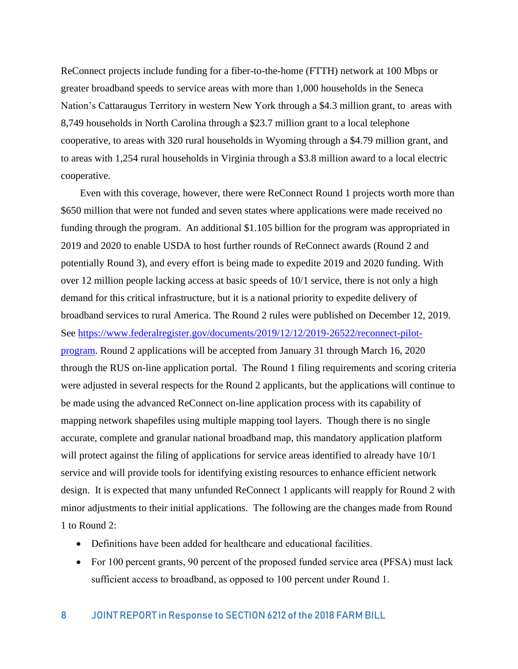ReConnect projects include funding for a fiber-to-the-home (FTTH) network at 100 Mbps or greater broadband speeds to service areas with more than 1,000 households in the Seneca Nation's Cattaraugus Territory in western New York through a \$4.3 million grant, to areas with 8,749 households in North Carolina through a \$23.7 million grant to a local telephone cooperative, to areas with 320 rural households in Wyoming through a \$4.79 million grant, and to areas with 1,254 rural households in Virginia through a \$3.8 million award to a local electric cooperative.

Even with this coverage, however, there were ReConnect Round 1 projects worth more than \$650 million that were not funded and seven states where applications were made received no funding through the program. An additional \$1.105 billion for the program was appropriated in 2019 and 2020 to enable USDA to host further rounds of ReConnect awards (Round 2 and potentially Round 3), and every effort is being made to expedite 2019 and 2020 funding. With over 12 million people lacking access at basic speeds of 10/1 service, there is not only a high demand for this critical infrastructure, but it is a national priority to expedite delivery of broadband services to rural America. The Round 2 rules were published on December 12, 2019. See [https://www.federalregister.gov/documents/2019/12/12/2019-26522/reconnect-pilot](https://www.federalregister.gov/documents/2019/12/12/2019-26522/reconnect-pilot-program)[program.](https://www.federalregister.gov/documents/2019/12/12/2019-26522/reconnect-pilot-program) Round 2 applications will be accepted from January 31 through March 16, 2020 through the RUS on-line application portal. The Round 1 filing requirements and scoring criteria were adjusted in several respects for the Round 2 applicants, but the applications will continue to be made using the advanced ReConnect on-line application process with its capability of mapping network shapefiles using multiple mapping tool layers. Though there is no single accurate, complete and granular national broadband map, this mandatory application platform will protect against the filing of applications for service areas identified to already have 10/1 service and will provide tools for identifying existing resources to enhance efficient network design. It is expected that many unfunded ReConnect 1 applicants will reapply for Round 2 with minor adjustments to their initial applications. The following are the changes made from Round 1 to Round 2:

- Definitions have been added for healthcare and educational facilities.
- For 100 percent grants, 90 percent of the proposed funded service area (PFSA) must lack sufficient access to broadband, as opposed to 100 percent under Round 1.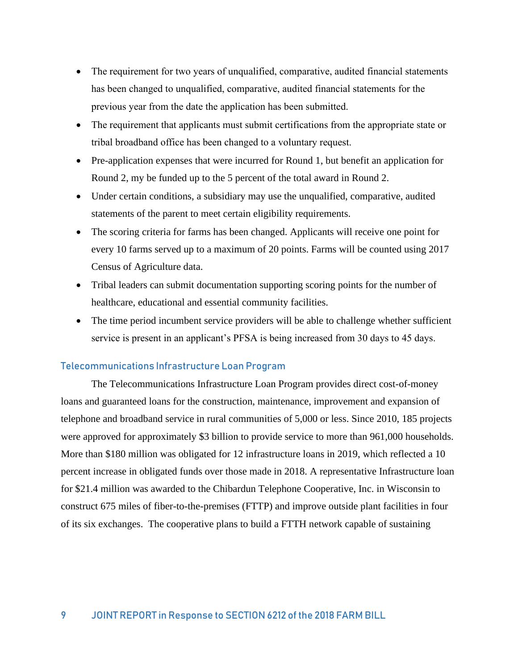- The requirement for two years of unqualified, comparative, audited financial statements has been changed to unqualified, comparative, audited financial statements for the previous year from the date the application has been submitted.
- The requirement that applicants must submit certifications from the appropriate state or tribal broadband office has been changed to a voluntary request.
- Pre-application expenses that were incurred for Round 1, but benefit an application for Round 2, my be funded up to the 5 percent of the total award in Round 2.
- Under certain conditions, a subsidiary may use the unqualified, comparative, audited statements of the parent to meet certain eligibility requirements.
- The scoring criteria for farms has been changed. Applicants will receive one point for every 10 farms served up to a maximum of 20 points. Farms will be counted using 2017 Census of Agriculture data.
- Tribal leaders can submit documentation supporting scoring points for the number of healthcare, educational and essential community facilities.
- The time period incumbent service providers will be able to challenge whether sufficient service is present in an applicant's PFSA is being increased from 30 days to 45 days.

### Telecommunications Infrastructure Loan Program

The Telecommunications Infrastructure Loan Program provides direct cost-of-money loans and guaranteed loans for the construction, maintenance, improvement and expansion of telephone and broadband service in rural communities of 5,000 or less. Since 2010, 185 projects were approved for approximately \$3 billion to provide service to more than 961,000 households. More than \$180 million was obligated for 12 infrastructure loans in 2019, which reflected a 10 percent increase in obligated funds over those made in 2018. A representative Infrastructure loan for \$21.4 million was awarded to the Chibardun Telephone Cooperative, Inc. in Wisconsin to construct 675 miles of fiber-to-the-premises (FTTP) and improve outside plant facilities in four of its six exchanges. The cooperative plans to build a FTTH network capable of sustaining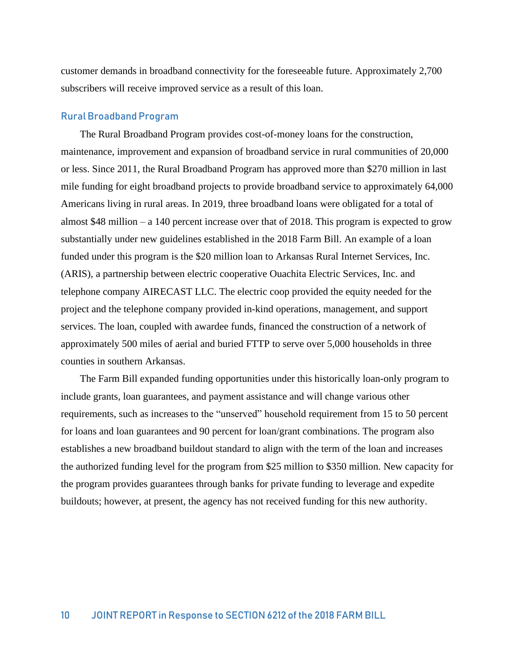customer demands in broadband connectivity for the foreseeable future. Approximately 2,700 subscribers will receive improved service as a result of this loan.

#### Rural Broadband Program

The Rural Broadband Program provides cost-of-money loans for the construction, maintenance, improvement and expansion of broadband service in rural communities of 20,000 or less. Since 2011, the Rural Broadband Program has approved more than \$270 million in last mile funding for eight broadband projects to provide broadband service to approximately 64,000 Americans living in rural areas. In 2019, three broadband loans were obligated for a total of almost \$48 million – a 140 percent increase over that of 2018. This program is expected to grow substantially under new guidelines established in the 2018 Farm Bill. An example of a loan funded under this program is the \$20 million loan to Arkansas Rural Internet Services, Inc. (ARIS), a partnership between electric cooperative Ouachita Electric Services, Inc. and telephone company AIRECAST LLC. The electric coop provided the equity needed for the project and the telephone company provided in-kind operations, management, and support services. The loan, coupled with awardee funds, financed the construction of a network of approximately 500 miles of aerial and buried FTTP to serve over 5,000 households in three counties in southern Arkansas.

The Farm Bill expanded funding opportunities under this historically loan-only program to include grants, loan guarantees, and payment assistance and will change various other requirements, such as increases to the "unserved" household requirement from 15 to 50 percent for loans and loan guarantees and 90 percent for loan/grant combinations. The program also establishes a new broadband buildout standard to align with the term of the loan and increases the authorized funding level for the program from \$25 million to \$350 million. New capacity for the program provides guarantees through banks for private funding to leverage and expedite buildouts; however, at present, the agency has not received funding for this new authority.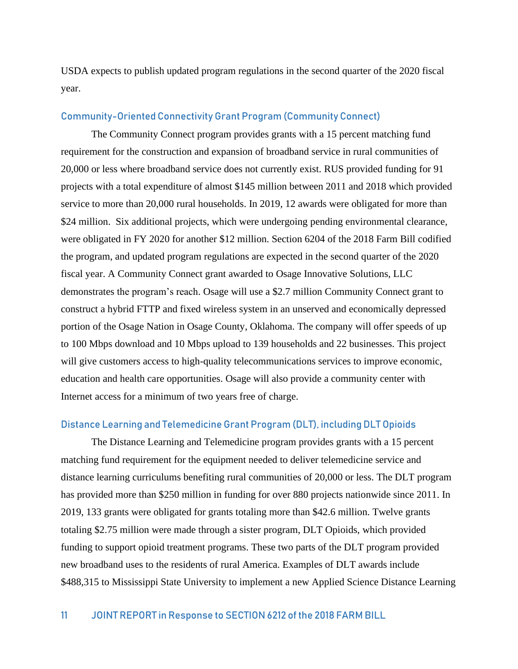USDA expects to publish updated program regulations in the second quarter of the 2020 fiscal year.

### Community-Oriented Connectivity Grant Program (Community Connect)

The Community Connect program provides grants with a 15 percent matching fund requirement for the construction and expansion of broadband service in rural communities of 20,000 or less where broadband service does not currently exist. RUS provided funding for 91 projects with a total expenditure of almost \$145 million between 2011 and 2018 which provided service to more than 20,000 rural households. In 2019, 12 awards were obligated for more than \$24 million. Six additional projects, which were undergoing pending environmental clearance, were obligated in FY 2020 for another \$12 million. Section 6204 of the 2018 Farm Bill codified the program, and updated program regulations are expected in the second quarter of the 2020 fiscal year. A Community Connect grant awarded to Osage Innovative Solutions, LLC demonstrates the program's reach. Osage will use a \$2.7 million Community Connect grant to construct a hybrid FTTP and fixed wireless system in an unserved and economically depressed portion of the Osage Nation in Osage County, Oklahoma. The company will offer speeds of up to 100 Mbps download and 10 Mbps upload to 139 households and 22 businesses. This project will give customers access to high-quality telecommunications services to improve economic, education and health care opportunities. Osage will also provide a community center with Internet access for a minimum of two years free of charge.

#### Distance Learning and Telemedicine Grant Program (DLT), including DLT Opioids

The Distance Learning and Telemedicine program provides grants with a 15 percent matching fund requirement for the equipment needed to deliver telemedicine service and distance learning curriculums benefiting rural communities of 20,000 or less. The DLT program has provided more than \$250 million in funding for over 880 projects nationwide since 2011. In 2019, 133 grants were obligated for grants totaling more than \$42.6 million. Twelve grants totaling \$2.75 million were made through a sister program, DLT Opioids, which provided funding to support opioid treatment programs. These two parts of the DLT program provided new broadband uses to the residents of rural America. Examples of DLT awards include \$488,315 to Mississippi State University to implement a new Applied Science Distance Learning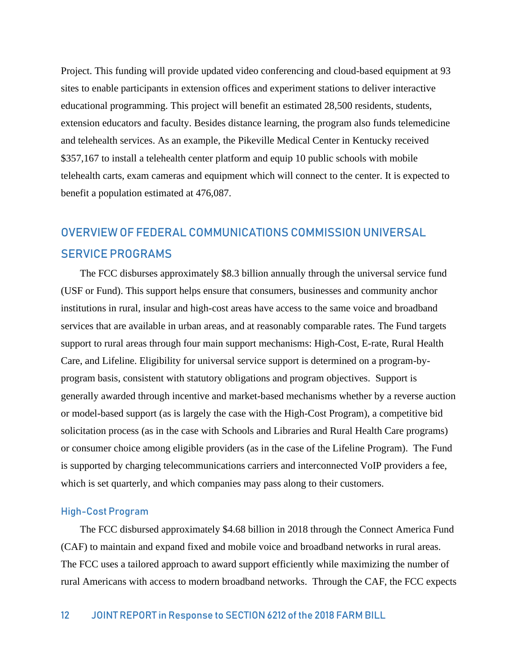Project. This funding will provide updated video conferencing and cloud-based equipment at 93 sites to enable participants in extension offices and experiment stations to deliver interactive educational programming. This project will benefit an estimated 28,500 residents, students, extension educators and faculty. Besides distance learning, the program also funds telemedicine and telehealth services. As an example, the Pikeville Medical Center in Kentucky received \$357,167 to install a telehealth center platform and equip 10 public schools with mobile telehealth carts, exam cameras and equipment which will connect to the center. It is expected to benefit a population estimated at 476,087.

# OVERVIEW OF FEDERAL COMMUNICATIONS COMMISSION UNIVERSAL SERVICE PROGRAMS

The FCC disburses approximately \$8.3 billion annually through the universal service fund (USF or Fund). This support helps ensure that consumers, businesses and community anchor institutions in rural, insular and high-cost areas have access to the same voice and broadband services that are available in urban areas, and at reasonably comparable rates. The Fund targets support to rural areas through four main support mechanisms: High-Cost, E-rate, Rural Health Care, and Lifeline. Eligibility for universal service support is determined on a program-byprogram basis, consistent with statutory obligations and program objectives. Support is generally awarded through incentive and market-based mechanisms whether by a reverse auction or model-based support (as is largely the case with the High-Cost Program), a competitive bid solicitation process (as in the case with Schools and Libraries and Rural Health Care programs) or consumer choice among eligible providers (as in the case of the Lifeline Program). The Fund is supported by charging telecommunications carriers and interconnected VoIP providers a fee, which is set quarterly, and which companies may pass along to their customers.

#### High-Cost Program

The FCC disbursed approximately \$4.68 billion in 2018 through the Connect America Fund (CAF) to maintain and expand fixed and mobile voice and broadband networks in rural areas. The FCC uses a tailored approach to award support efficiently while maximizing the number of rural Americans with access to modern broadband networks. Through the CAF, the FCC expects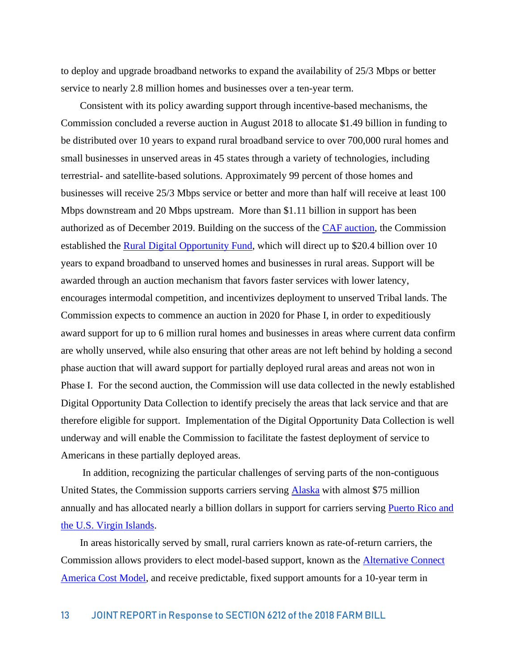to deploy and upgrade broadband networks to expand the availability of 25/3 Mbps or better service to nearly 2.8 million homes and businesses over a ten-year term.

Consistent with its policy awarding support through incentive-based mechanisms, the Commission concluded a reverse auction in August 2018 to allocate \$1.49 billion in funding to be distributed over 10 years to expand rural broadband service to over 700,000 rural homes and small businesses in unserved areas in 45 states through a variety of technologies, including terrestrial- and satellite-based solutions. Approximately 99 percent of those homes and businesses will receive 25/3 Mbps service or better and more than half will receive at least 100 Mbps downstream and 20 Mbps upstream. More than \$1.11 billion in support has been authorized as of December 2019. Building on the success of the [CAF auction,](file://///fccnet/users/n15/sue.mcneil/My%20Documents/WCB/RUS/fcc.gov/auction/903) the Commission established the [Rural Digital Opportunity Fund,](file:///D:/Users/Sue.McNeil/AppData/Local/Microsoft/Windows/INetCache/Content.Outlook/0ZVDG5C4/fcc.gov/document/fcc-launches-20-billion-rural-digital-opportunity-fund) which will direct up to \$20.4 billion over 10 years to expand broadband to unserved homes and businesses in rural areas. Support will be awarded through an auction mechanism that favors faster services with lower latency, encourages intermodal competition, and incentivizes deployment to unserved Tribal lands. The Commission expects to commence an auction in 2020 for Phase I, in order to expeditiously award support for up to 6 million rural homes and businesses in areas where current data confirm are wholly unserved, while also ensuring that other areas are not left behind by holding a second phase auction that will award support for partially deployed rural areas and areas not won in Phase I. For the second auction, the Commission will use data collected in the newly established Digital Opportunity Data Collection to identify precisely the areas that lack service and that are therefore eligible for support. Implementation of the Digital Opportunity Data Collection is well underway and will enable the Commission to facilitate the fastest deployment of service to Americans in these partially deployed areas.

In addition, recognizing the particular challenges of serving parts of the non-contiguous United States, the Commission supports carriers serving [Alaska](http://www.fcc.gov/alaska-plan) with almost \$75 million annually and has allocated nearly a billion dollars in support for carriers serving [Puerto Rico and](file://///fccnet/users/n15/sue.mcneil/My%20Documents/WCB/RUS/fcc.gov/document/fcc-invests-950-million-improve-broadband-puerto-rico-usvi-0)  [the U.S. Virgin Islands.](file://///fccnet/users/n15/sue.mcneil/My%20Documents/WCB/RUS/fcc.gov/document/fcc-invests-950-million-improve-broadband-puerto-rico-usvi-0)

In areas historically served by small, rural carriers known as rate-of-return carriers, the Commission allows providers to elect model-based support, known as the [Alternative Connect](file:///D:/Users/Sue.McNeil/AppData/Local/Microsoft/Windows/INetCache/Content.Outlook/0ZVDG5C4/fcc.gov/general/rate-return-resources%23model)  [America Cost Model,](file:///D:/Users/Sue.McNeil/AppData/Local/Microsoft/Windows/INetCache/Content.Outlook/0ZVDG5C4/fcc.gov/general/rate-return-resources%23model) and receive predictable, fixed support amounts for a 10-year term in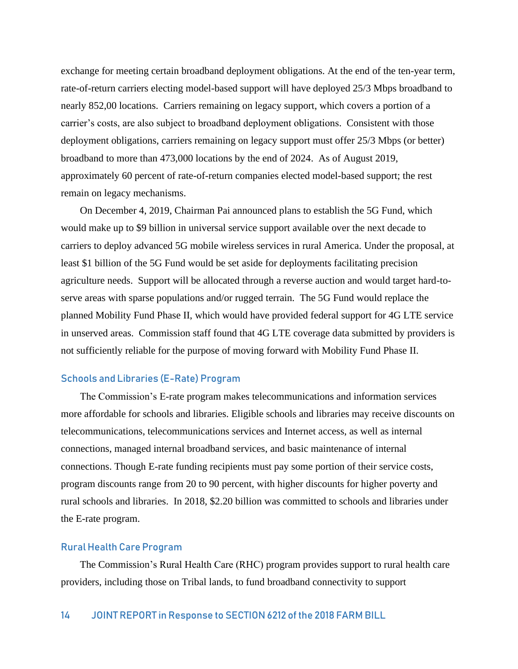exchange for meeting certain broadband deployment obligations. At the end of the ten-year term, rate-of-return carriers electing model-based support will have deployed 25/3 Mbps broadband to nearly 852,00 locations. Carriers remaining on legacy support, which covers a portion of a carrier's costs, are also subject to broadband deployment obligations. Consistent with those deployment obligations, carriers remaining on legacy support must offer 25/3 Mbps (or better) broadband to more than 473,000 locations by the end of 2024. As of August 2019, approximately 60 percent of rate-of-return companies elected model-based support; the rest remain on legacy mechanisms.

On December 4, 2019, Chairman Pai announced plans to establish the 5G Fund, which would make up to \$9 billion in universal service support available over the next decade to carriers to deploy advanced 5G mobile wireless services in rural America. Under the proposal, at least \$1 billion of the 5G Fund would be set aside for deployments facilitating precision agriculture needs. Support will be allocated through a reverse auction and would target hard-toserve areas with sparse populations and/or rugged terrain. The 5G Fund would replace the planned Mobility Fund Phase II, which would have provided federal support for 4G LTE service in unserved areas. Commission staff found that 4G LTE coverage data submitted by providers is not sufficiently reliable for the purpose of moving forward with Mobility Fund Phase II.

#### Schools and Libraries (E-Rate) Program

The Commission's E-rate program makes telecommunications and information services more affordable for schools and libraries. Eligible schools and libraries may receive discounts on telecommunications, telecommunications services and Internet access, as well as internal connections, managed internal broadband services, and basic maintenance of internal connections. Though E-rate funding recipients must pay some portion of their service costs, program discounts range from 20 to 90 percent, with higher discounts for higher poverty and rural schools and libraries. In 2018, \$2.20 billion was committed to schools and libraries under the E-rate program.

#### Rural Health Care Program

The Commission's Rural Health Care (RHC) program provides support to rural health care providers, including those on Tribal lands, to fund broadband connectivity to support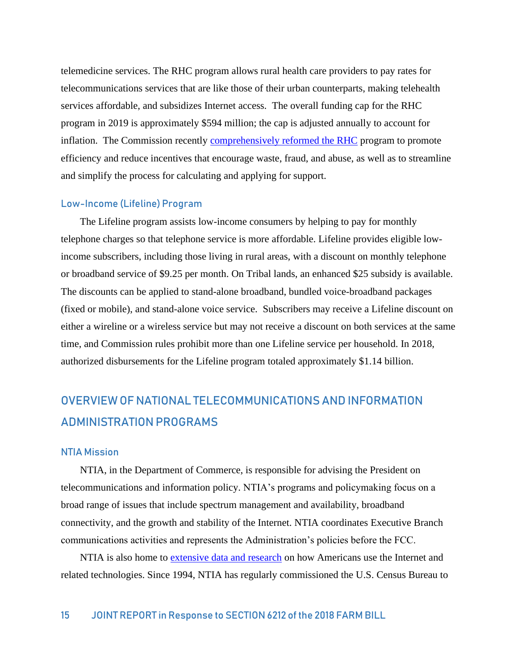telemedicine services. The RHC program allows rural health care providers to pay rates for telecommunications services that are like those of their urban counterparts, making telehealth services affordable, and subsidizes Internet access. The overall funding cap for the RHC program in 2019 is approximately \$594 million; the cap is adjusted annually to account for inflation. The Commission recently [comprehensively reformed the RHC](file://///fccnet/users/n15/sue.mcneil/My%20Documents/WCB/RUS/fcc.gov/document/fcc-strengthens-rural-health-care-program) program to promote efficiency and reduce incentives that encourage waste, fraud, and abuse, as well as to streamline and simplify the process for calculating and applying for support.

#### Low-Income (Lifeline) Program

The Lifeline program assists low-income consumers by helping to pay for monthly telephone charges so that telephone service is more affordable. Lifeline provides eligible lowincome subscribers, including those living in rural areas, with a discount on monthly telephone or broadband service of \$9.25 per month. On Tribal lands, an enhanced \$25 subsidy is available. The discounts can be applied to stand-alone broadband, bundled voice-broadband packages (fixed or mobile), and stand-alone voice service. Subscribers may receive a Lifeline discount on either a wireline or a wireless service but may not receive a discount on both services at the same time, and Commission rules prohibit more than one Lifeline service per household. In 2018, authorized disbursements for the Lifeline program totaled approximately \$1.14 billion.

# OVERVIEW OF NATIONAL TELECOMMUNICATIONS AND INFORMATION ADMINISTRATION PROGRAMS

#### NTIA Mission

NTIA, in the Department of Commerce, is responsible for advising the President on telecommunications and information policy. NTIA's programs and policymaking focus on a broad range of issues that include spectrum management and availability, broadband connectivity, and the growth and stability of the Internet. NTIA coordinates Executive Branch communications activities and represents the Administration's policies before the FCC.

NTIA is also home to [extensive data and research](https://www.ntia.doc.gov/cagegory/data-central) on how Americans use the Internet and related technologies. Since 1994, NTIA has regularly commissioned the U.S. Census Bureau to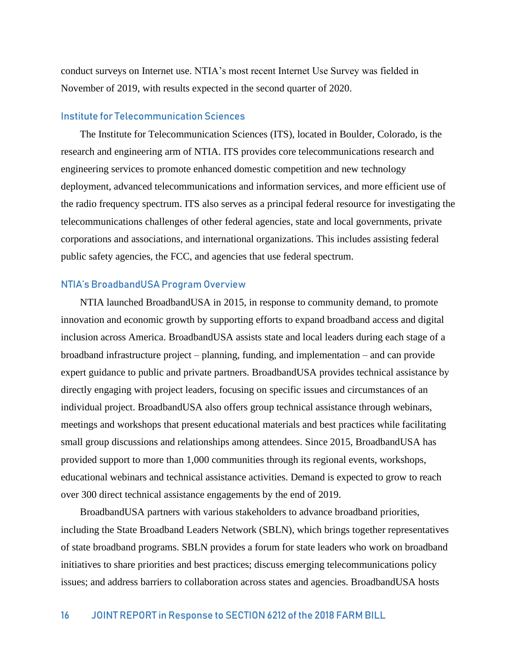conduct surveys on Internet use. NTIA's most recent Internet Use Survey was fielded in November of 2019, with results expected in the second quarter of 2020.

#### Institute for Telecommunication Sciences

The [Institute for Telecommunication Sciences](http://www.its.bldrdoc.gov/) (ITS), located in Boulder, Colorado, is the research and engineering arm of NTIA. ITS provides core telecommunications research and engineering services to promote enhanced domestic competition and new technology deployment, advanced telecommunications and information services, and more efficient use of the radio frequency spectrum. ITS also serves as a principal federal resource for investigating the telecommunications challenges of other federal agencies, state and local governments, private corporations and associations, and international organizations. This includes assisting federal public safety agencies, the FCC, and agencies that use federal spectrum.

#### NTIA's BroadbandUSA Program Overview

NTIA launched BroadbandUSA in 2015, in response to community demand, to promote innovation and economic growth by supporting efforts to expand broadband access and digital inclusion across America. BroadbandUSA assists state and local leaders during each stage of a broadband infrastructure project – planning, funding, and implementation – and can provide expert guidance to public and private partners. BroadbandUSA provides technical assistance by directly engaging with project leaders, focusing on specific issues and circumstances of an individual project. BroadbandUSA also offers group technical assistance through webinars, meetings and workshops that present educational materials and best practices while facilitating small group discussions and relationships among attendees. Since 2015, BroadbandUSA has provided support to more than 1,000 communities through its regional events, workshops, educational webinars and technical assistance activities. Demand is expected to grow to reach over 300 direct technical assistance engagements by the end of 2019.

BroadbandUSA partners with various stakeholders to advance broadband priorities, including the State Broadband Leaders Network (SBLN), which brings together representatives of state broadband programs. SBLN provides a forum for state leaders who work on broadband initiatives to share priorities and best practices; discuss emerging telecommunications policy issues; and address barriers to collaboration across states and agencies. BroadbandUSA hosts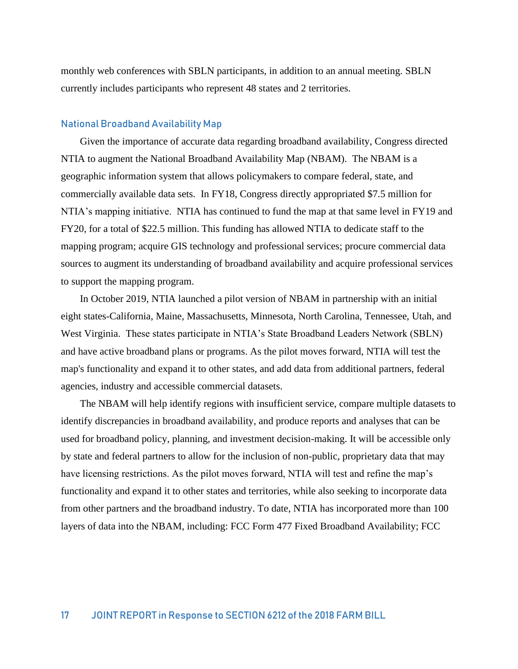monthly web conferences with SBLN participants, in addition to an annual meeting. SBLN currently includes participants who represent 48 states and 2 territories.

#### National Broadband Availability Map

Given the importance of accurate data regarding broadband availability, Congress directed NTIA to augment the National Broadband Availability Map (NBAM). The NBAM is a geographic information system that allows policymakers to compare federal, state, and commercially available data sets. In FY18, Congress directly appropriated \$7.5 million for NTIA's mapping initiative. NTIA has continued to fund the map at that same level in FY19 and FY20, for a total of \$22.5 million. This funding has allowed NTIA to dedicate staff to the mapping program; acquire GIS technology and professional services; procure commercial data sources to augment its understanding of broadband availability and acquire professional services to support the mapping program.

In October 2019, NTIA launched a pilot version of NBAM in partnership with an initial eight states-California, Maine, Massachusetts, Minnesota, North Carolina, Tennessee, Utah, and West Virginia. These states participate in NTIA's State Broadband Leaders Network (SBLN) and have active broadband plans or programs. As the pilot moves forward, NTIA will test the map's functionality and expand it to other states, and add data from additional partners, federal agencies, industry and accessible commercial datasets.

The NBAM will help identify regions with insufficient service, compare multiple datasets to identify discrepancies in broadband availability, and produce reports and analyses that can be used for broadband policy, planning, and investment decision-making. It will be accessible only by state and federal partners to allow for the inclusion of non-public, proprietary data that may have licensing restrictions. As the pilot moves forward, NTIA will test and refine the map's functionality and expand it to other states and territories, while also seeking to incorporate data from other partners and the broadband industry. To date, NTIA has incorporated more than 100 layers of data into the NBAM, including: FCC Form 477 Fixed Broadband Availability; FCC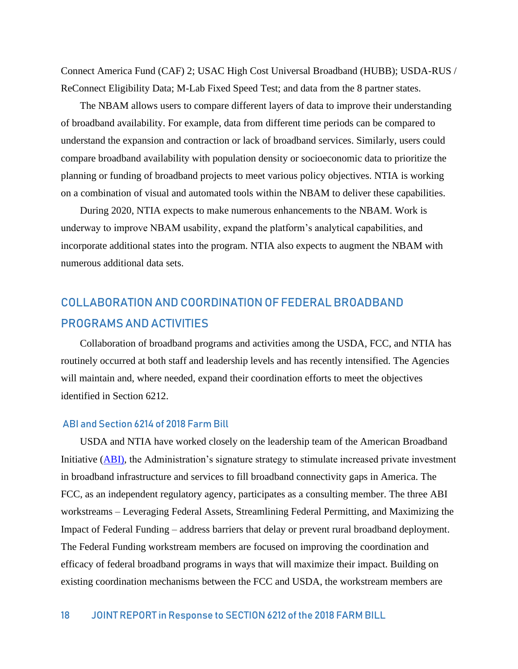Connect America Fund (CAF) 2; USAC High Cost Universal Broadband (HUBB); USDA-RUS / ReConnect Eligibility Data; M-Lab Fixed Speed Test; and data from the 8 partner states.

The NBAM allows users to compare different layers of data to improve their understanding of broadband availability. For example, data from different time periods can be compared to understand the expansion and contraction or lack of broadband services. Similarly, users could compare broadband availability with population density or socioeconomic data to prioritize the planning or funding of broadband projects to meet various policy objectives. NTIA is working on a combination of visual and automated tools within the NBAM to deliver these capabilities.

During 2020, NTIA expects to make numerous enhancements to the NBAM. Work is underway to improve NBAM usability, expand the platform's analytical capabilities, and incorporate additional states into the program. NTIA also expects to augment the NBAM with numerous additional data sets.

# COLLABORATION AND COORDINATION OF FEDERAL BROADBAND PROGRAMS AND ACTIVITIES

Collaboration of broadband programs and activities among the USDA, FCC, and NTIA has routinely occurred at both staff and leadership levels and has recently intensified. The Agencies will maintain and, where needed, expand their coordination efforts to meet the objectives identified in Section 6212.

#### ABI and Section 6214 of 2018 Farm Bill

USDA and NTIA have worked closely on the leadership team of the American Broadband Initiative [\(ABI\)](file://///fccnet/users/n15/sue.mcneil/My%20Documents/WCB/RUS/ntia.doc.gov/report/2019/american-broadband-initiative-milestones-report), the Administration's signature strategy to stimulate increased private investment in broadband infrastructure and services to fill broadband connectivity gaps in America. The FCC, as an independent regulatory agency, participates as a consulting member. The three ABI workstreams – Leveraging Federal Assets, Streamlining Federal Permitting, and Maximizing the Impact of Federal Funding – address barriers that delay or prevent rural broadband deployment. The Federal Funding workstream members are focused on improving the coordination and efficacy of federal broadband programs in ways that will maximize their impact. Building on existing coordination mechanisms between the FCC and USDA, the workstream members are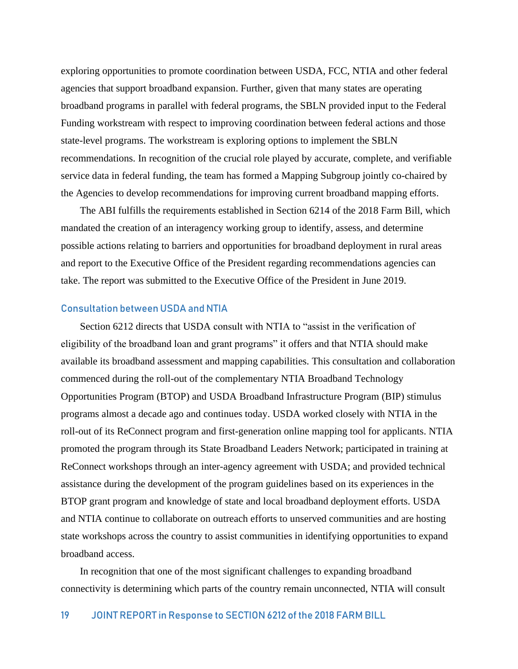exploring opportunities to promote coordination between USDA, FCC, NTIA and other federal agencies that support broadband expansion. Further, given that many states are operating broadband programs in parallel with federal programs, the SBLN provided input to the Federal Funding workstream with respect to improving coordination between federal actions and those state-level programs. The workstream is exploring options to implement the SBLN recommendations. In recognition of the crucial role played by accurate, complete, and verifiable service data in federal funding, the team has formed a Mapping Subgroup jointly co-chaired by the Agencies to develop recommendations for improving current broadband mapping efforts.

The ABI fulfills the requirements established in Section 6214 of the 2018 Farm Bill, which mandated the creation of an interagency working group to identify, assess, and determine possible actions relating to barriers and opportunities for broadband deployment in rural areas and report to the Executive Office of the President regarding recommendations agencies can take. The report was submitted to the Executive Office of the President in June 2019.

#### Consultation between USDA and NTIA

Section 6212 directs that USDA consult with NTIA to "assist in the verification of eligibility of the broadband loan and grant programs" it offers and that NTIA should make available its broadband assessment and mapping capabilities. This consultation and collaboration commenced during the roll-out of the complementary NTIA Broadband Technology Opportunities Program (BTOP) and USDA Broadband Infrastructure Program (BIP) stimulus programs almost a decade ago and continues today. USDA worked closely with NTIA in the roll-out of its ReConnect program and first-generation online mapping tool for applicants. NTIA promoted the program through its State Broadband Leaders Network; participated in training at ReConnect workshops through an inter-agency agreement with USDA; and provided technical assistance during the development of the program guidelines based on its experiences in the BTOP grant program and knowledge of state and local broadband deployment efforts. USDA and NTIA continue to collaborate on outreach efforts to unserved communities and are hosting state workshops across the country to assist communities in identifying opportunities to expand broadband access.

In recognition that one of the most significant challenges to expanding broadband connectivity is determining which parts of the country remain unconnected, NTIA will consult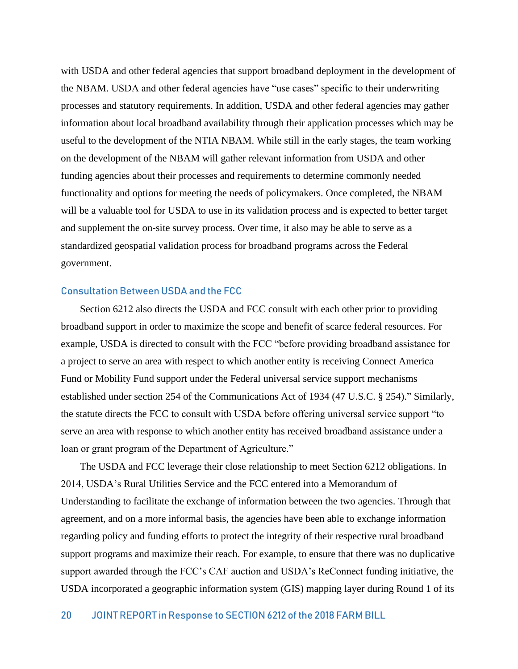with USDA and other federal agencies that support broadband deployment in the development of the NBAM. USDA and other federal agencies have "use cases" specific to their underwriting processes and statutory requirements. In addition, USDA and other federal agencies may gather information about local broadband availability through their application processes which may be useful to the development of the NTIA NBAM. While still in the early stages, the team working on the development of the NBAM will gather relevant information from USDA and other funding agencies about their processes and requirements to determine commonly needed functionality and options for meeting the needs of policymakers. Once completed, the NBAM will be a valuable tool for USDA to use in its validation process and is expected to better target and supplement the on-site survey process. Over time, it also may be able to serve as a standardized geospatial validation process for broadband programs across the Federal government.

### Consultation Between USDA and the FCC

Section 6212 also directs the USDA and FCC consult with each other prior to providing broadband support in order to maximize the scope and benefit of scarce federal resources. For example, USDA is directed to consult with the FCC "before providing broadband assistance for a project to serve an area with respect to which another entity is receiving Connect America Fund or Mobility Fund support under the Federal universal service support mechanisms established under section 254 of the Communications Act of 1934 [\(47 U.S.C. §](http://uscode.house.gov/quicksearch/get.plx?title=47§ion=254) 254)." Similarly, the statute directs the FCC to consult with USDA before offering universal service support "to serve an area with response to which another entity has received broadband assistance under a loan or grant program of the Department of Agriculture."

The USDA and FCC leverage their close relationship to meet Section 6212 obligations. In 2014, USDA's Rural Utilities Service and the FCC entered into a Memorandum of Understanding to facilitate the exchange of information between the two agencies. Through that agreement, and on a more informal basis, the agencies have been able to exchange information regarding policy and funding efforts to protect the integrity of their respective rural broadband support programs and maximize their reach. For example, to ensure that there was no duplicative support awarded through the FCC's CAF auction and USDA's ReConnect funding initiative, the USDA incorporated a geographic information system (GIS) mapping layer during Round 1 of its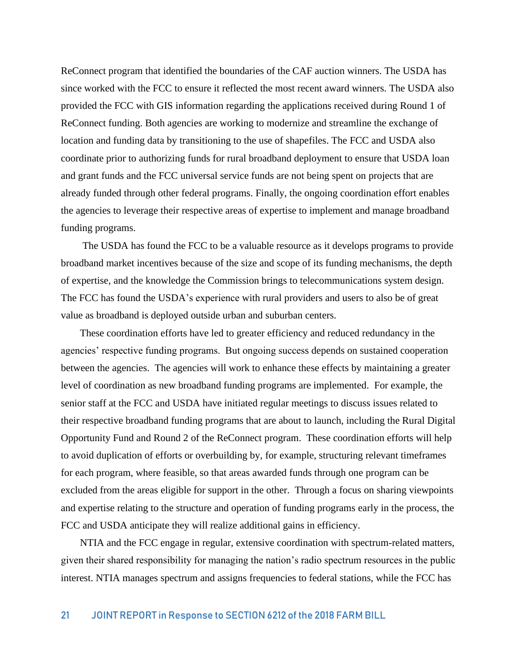ReConnect program that identified the boundaries of the CAF auction winners. The USDA has since worked with the FCC to ensure it reflected the most recent award winners. The USDA also provided the FCC with GIS information regarding the applications received during Round 1 of ReConnect funding. Both agencies are working to modernize and streamline the exchange of location and funding data by transitioning to the use of shapefiles. The FCC and USDA also coordinate prior to authorizing funds for rural broadband deployment to ensure that USDA loan and grant funds and the FCC universal service funds are not being spent on projects that are already funded through other federal programs. Finally, the ongoing coordination effort enables the agencies to leverage their respective areas of expertise to implement and manage broadband funding programs.

The USDA has found the FCC to be a valuable resource as it develops programs to provide broadband market incentives because of the size and scope of its funding mechanisms, the depth of expertise, and the knowledge the Commission brings to telecommunications system design. The FCC has found the USDA's experience with rural providers and users to also be of great value as broadband is deployed outside urban and suburban centers.

These coordination efforts have led to greater efficiency and reduced redundancy in the agencies' respective funding programs. But ongoing success depends on sustained cooperation between the agencies. The agencies will work to enhance these effects by maintaining a greater level of coordination as new broadband funding programs are implemented. For example, the senior staff at the FCC and USDA have initiated regular meetings to discuss issues related to their respective broadband funding programs that are about to launch, including the Rural Digital Opportunity Fund and Round 2 of the ReConnect program. These coordination efforts will help to avoid duplication of efforts or overbuilding by, for example, structuring relevant timeframes for each program, where feasible, so that areas awarded funds through one program can be excluded from the areas eligible for support in the other. Through a focus on sharing viewpoints and expertise relating to the structure and operation of funding programs early in the process, the FCC and USDA anticipate they will realize additional gains in efficiency.

NTIA and the FCC engage in regular, extensive coordination with spectrum-related matters, given their shared responsibility for managing the nation's radio spectrum resources in the public interest. NTIA manages spectrum and assigns frequencies to federal stations, while the FCC has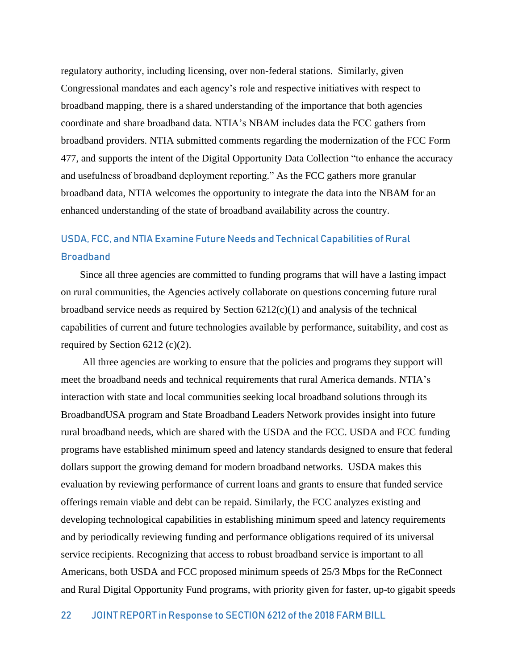regulatory authority, including licensing, over non-federal stations. Similarly, given Congressional mandates and each agency's role and respective initiatives with respect to broadband mapping, there is a shared understanding of the importance that both agencies coordinate and share broadband data. NTIA's NBAM includes data the FCC gathers from broadband providers. NTIA submitted comments regarding the modernization of the FCC Form 477, and supports the intent of the Digital Opportunity Data Collection "to enhance the accuracy and usefulness of broadband deployment reporting." As the FCC gathers more granular broadband data, NTIA welcomes the opportunity to integrate the data into the NBAM for an enhanced understanding of the state of broadband availability across the country.

# USDA, FCC, and NTIA Examine Future Needs and Technical Capabilities of Rural **Broadband**

Since all three agencies are committed to funding programs that will have a lasting impact on rural communities, the Agencies actively collaborate on questions concerning future rural broadband service needs as required by Section  $6212(c)(1)$  and analysis of the technical capabilities of current and future technologies available by performance, suitability, and cost as required by Section 6212 (c)(2).

All three agencies are working to ensure that the policies and programs they support will meet the broadband needs and technical requirements that rural America demands. NTIA's interaction with state and local communities seeking local broadband solutions through its BroadbandUSA program and State Broadband Leaders Network provides insight into future rural broadband needs, which are shared with the USDA and the FCC. USDA and FCC funding programs have established minimum speed and latency standards designed to ensure that federal dollars support the growing demand for modern broadband networks. USDA makes this evaluation by reviewing performance of current loans and grants to ensure that funded service offerings remain viable and debt can be repaid. Similarly, the FCC analyzes existing and developing technological capabilities in establishing minimum speed and latency requirements and by periodically reviewing funding and performance obligations required of its universal service recipients. Recognizing that access to robust broadband service is important to all Americans, both USDA and FCC proposed minimum speeds of 25/3 Mbps for the ReConnect and Rural Digital Opportunity Fund programs, with priority given for faster, up-to gigabit speeds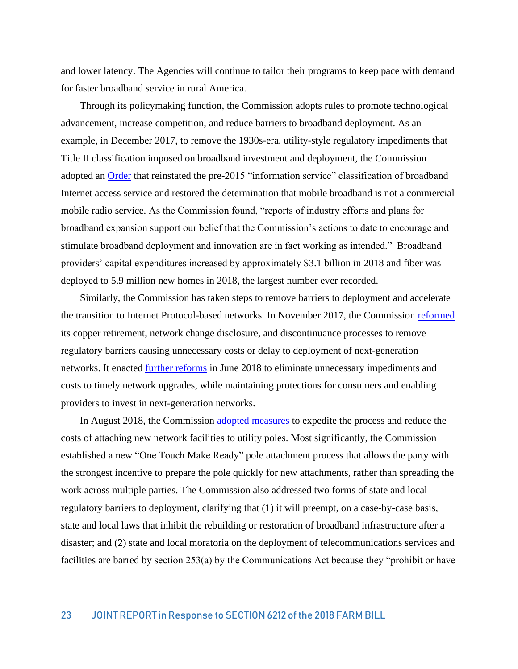and lower latency. The Agencies will continue to tailor their programs to keep pace with demand for faster broadband service in rural America.

Through its policymaking function, the Commission adopts rules to promote technological advancement, increase competition, and reduce barriers to broadband deployment. As an example, in December 2017, to remove the 1930s-era, utility-style regulatory impediments that Title II classification imposed on broadband investment and deployment, the Commission adopted an [Order](file://///fccnet/users/n15/sue.mcneil/My%20Documents/WCB/RUS/fcc.gov/document/fcc-releases-restoring-internet-freedom-order) that reinstated the pre-2015 "information service" classification of broadband Internet access service and restored the determination that mobile broadband is not a commercial mobile radio service. As the Commission found, "reports of industry efforts and plans for broadband expansion support our belief that the Commission's actions to date to encourage and stimulate broadband deployment and innovation are in fact working as intended." Broadband providers' capital expenditures increased by approximately \$3.1 billion in 2018 and fiber was deployed to 5.9 million new homes in 2018, the largest number ever recorded.

Similarly, the Commission has taken steps to remove barriers to deployment and accelerate the transition to Internet Protocol-based networks. In November 2017, the Commission [reformed](file://///fccnet/users/n15/sue.mcneil/My%20Documents/WCB/RUS/fcc.gov/document/fcc-acts-enable-investment-next-generation-networks-0) its copper retirement, network change disclosure, and discontinuance processes to remove regulatory barriers causing unnecessary costs or delay to deployment of next-generation networks. It enacted [further reforms](file://///fccnet/users/n15/sue.mcneil/My%20Documents/WCB/RUS/fcc.gov/document/fcc-eliminates-needless-barriers-next-generation-networks-services-0) in June 2018 to eliminate unnecessary impediments and costs to timely network upgrades, while maintaining protections for consumers and enabling providers to invest in next-generation networks.

In August 2018, the Commission [adopted measures](file://///fccnet/users/n15/sue.mcneil/My%20Documents/WCB/RUS/fcc.gov/document/fcc-speeds-access-utility-poles-promote-broadband-5g-deployment-0) to expedite the process and reduce the costs of attaching new network facilities to utility poles. Most significantly, the Commission established a new "One Touch Make Ready" pole attachment process that allows the party with the strongest incentive to prepare the pole quickly for new attachments, rather than spreading the work across multiple parties. The Commission also addressed two forms of state and local regulatory barriers to deployment, clarifying that (1) it will preempt, on a case-by-case basis, state and local laws that inhibit the rebuilding or restoration of broadband infrastructure after a disaster; and (2) state and local moratoria on the deployment of telecommunications services and facilities are barred by section 253(a) by the Communications Act because they "prohibit or have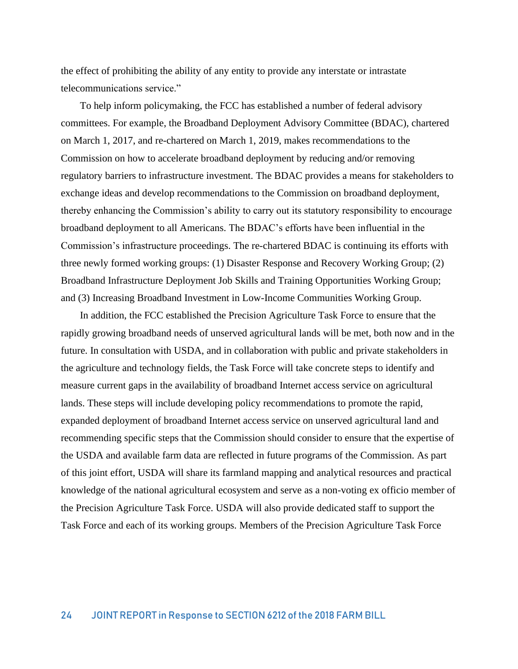the effect of prohibiting the ability of any entity to provide any interstate or intrastate telecommunications service."

To help inform policymaking, the FCC has established a number of federal advisory committees. For example, the Broadband Deployment Advisory Committee (BDAC), chartered on March 1, 2017, and re-chartered on March 1, 2019, makes recommendations to the Commission on how to accelerate broadband deployment by reducing and/or removing regulatory barriers to infrastructure investment. The BDAC provides a means for stakeholders to exchange ideas and develop recommendations to the Commission on broadband deployment, thereby enhancing the Commission's ability to carry out its statutory responsibility to encourage broadband deployment to all Americans. The BDAC's efforts have been influential in the Commission's infrastructure proceedings. The re-chartered BDAC is continuing its efforts with three newly formed working groups: (1) Disaster Response and Recovery Working Group; (2) Broadband Infrastructure Deployment Job Skills and Training Opportunities Working Group; and (3) Increasing Broadband Investment in Low-Income Communities Working Group.

In addition, the FCC established the Precision Agriculture Task Force to ensure that the rapidly growing broadband needs of unserved agricultural lands will be met, both now and in the future. In consultation with USDA, and in collaboration with public and private stakeholders in the agriculture and technology fields, the Task Force will take concrete steps to identify and measure current gaps in the availability of broadband Internet access service on agricultural lands. These steps will include developing policy recommendations to promote the rapid, expanded deployment of broadband Internet access service on unserved agricultural land and recommending specific steps that the Commission should consider to ensure that the expertise of the USDA and available farm data are reflected in future programs of the Commission. As part of this joint effort, USDA will share its farmland mapping and analytical resources and practical knowledge of the national agricultural ecosystem and serve as a non-voting ex officio member of the Precision Agriculture Task Force. USDA will also provide dedicated staff to support the Task Force and each of its working groups. Members of the Precision Agriculture Task Force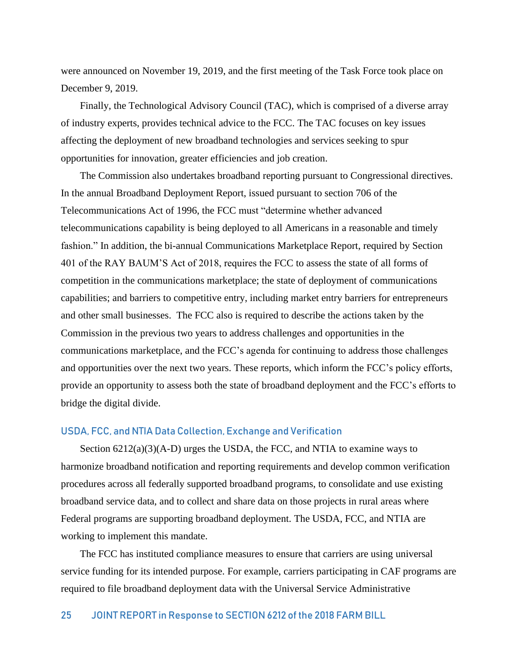were announced on November 19, 2019, and the first meeting of the Task Force took place on December 9, 2019.

Finally, the Technological Advisory Council (TAC), which is comprised of a diverse array of industry experts, provides technical advice to the FCC. The TAC focuses on key issues affecting the deployment of new broadband technologies and services seeking to spur opportunities for innovation, greater efficiencies and job creation.

The Commission also undertakes broadband reporting pursuant to Congressional directives. In the annual Broadband Deployment Report, issued pursuant to section 706 of the Telecommunications Act of 1996, the FCC must "determine whether advanced telecommunications capability is being deployed to all Americans in a reasonable and timely fashion." In addition, the bi-annual Communications Marketplace Report, required by Section 401 of the RAY BAUM'S Act of 2018, requires the FCC to assess the state of all forms of competition in the communications marketplace; the state of deployment of communications capabilities; and barriers to competitive entry, including market entry barriers for entrepreneurs and other small businesses. The FCC also is required to describe the actions taken by the Commission in the previous two years to address challenges and opportunities in the communications marketplace, and the FCC's agenda for continuing to address those challenges and opportunities over the next two years. These reports, which inform the FCC's policy efforts, provide an opportunity to assess both the state of broadband deployment and the FCC's efforts to bridge the digital divide.

#### USDA, FCC, and NTIA Data Collection, Exchange and Verification

Section  $6212(a)(3)(A-D)$  urges the USDA, the FCC, and NTIA to examine ways to harmonize broadband notification and reporting requirements and develop common verification procedures across all federally supported broadband programs, to consolidate and use existing broadband service data, and to collect and share data on those projects in rural areas where Federal programs are supporting broadband deployment. The USDA, FCC, and NTIA are working to implement this mandate.

The FCC has instituted compliance measures to ensure that carriers are using universal service funding for its intended purpose. For example, carriers participating in CAF programs are required to file broadband deployment data with the Universal Service Administrative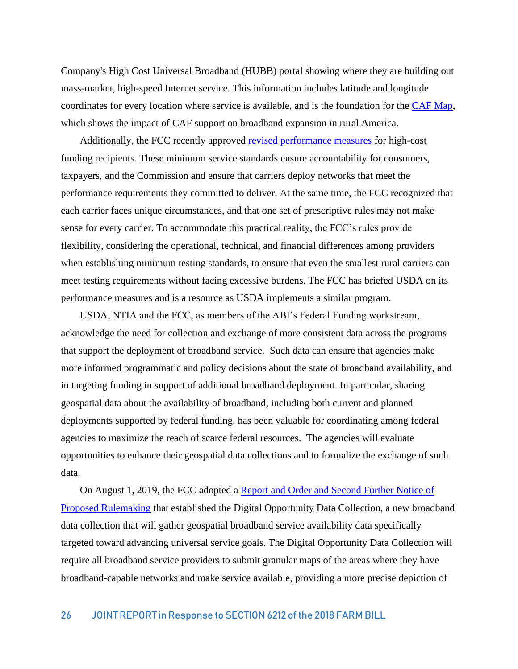Company's High Cost Universal Broadband (HUBB) portal showing where they are building out mass-market, high-speed Internet service. This information includes latitude and longitude coordinates for every location where service is available, and is the foundation for the [CAF Map,](https://data.usac.org/publicreports/caf-map/) which shows the impact of CAF support on broadband expansion in rural America.

Additionally, the FCC recently approved [revised performance measures](file://///fccnet/users/n15/sue.mcneil/My%20Documents/WCB/RUS/fcc.gov/document/fcc-takes-steps-enforce-quality-standards-rural-broadband-0) for high-cost funding recipients. These minimum service standards ensure accountability for consumers, taxpayers, and the Commission and ensure that carriers deploy networks that meet the performance requirements they committed to deliver. At the same time, the FCC recognized that each carrier faces unique circumstances, and that one set of prescriptive rules may not make sense for every carrier. To accommodate this practical reality, the FCC's rules provide flexibility, considering the operational, technical, and financial differences among providers when establishing minimum testing standards, to ensure that even the smallest rural carriers can meet testing requirements without facing excessive burdens. The FCC has briefed USDA on its performance measures and is a resource as USDA implements a similar program.

USDA, NTIA and the FCC, as members of the ABI's Federal Funding workstream, acknowledge the need for collection and exchange of more consistent data across the programs that support the deployment of broadband service. Such data can ensure that agencies make more informed programmatic and policy decisions about the state of broadband availability, and in targeting funding in support of additional broadband deployment. In particular, sharing geospatial data about the availability of broadband, including both current and planned deployments supported by federal funding, has been valuable for coordinating among federal agencies to maximize the reach of scarce federal resources. The agencies will evaluate opportunities to enhance their geospatial data collections and to formalize the exchange of such data.

On August 1, 2019, the FCC adopted a [Report and Order and Second Further Notice of](file://///fccnet/users/n15/sue.mcneil/My%20Documents/WCB/RUS/fcc.gov/documents/fcc-improves-broadband-mapping)  [Proposed Rulemaking](file://///fccnet/users/n15/sue.mcneil/My%20Documents/WCB/RUS/fcc.gov/documents/fcc-improves-broadband-mapping) that established the Digital Opportunity Data Collection, a new broadband data collection that will gather geospatial broadband service availability data specifically targeted toward advancing universal service goals. The Digital Opportunity Data Collection will require all broadband service providers to submit granular maps of the areas where they have broadband-capable networks and make service available, providing a more precise depiction of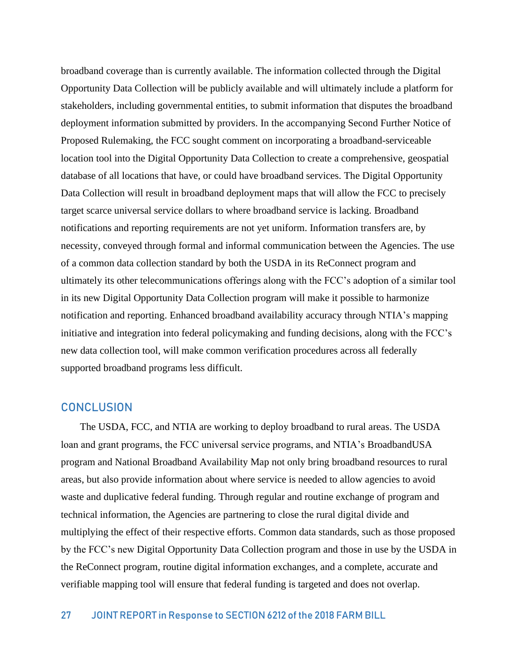broadband coverage than is currently available. The information collected through the Digital Opportunity Data Collection will be publicly available and will ultimately include a platform for stakeholders, including governmental entities, to submit information that disputes the broadband deployment information submitted by providers. In the accompanying Second Further Notice of Proposed Rulemaking, the FCC sought comment on incorporating a broadband-serviceable location tool into the Digital Opportunity Data Collection to create a comprehensive, geospatial database of all locations that have, or could have broadband services. The Digital Opportunity Data Collection will result in broadband deployment maps that will allow the FCC to precisely target scarce universal service dollars to where broadband service is lacking. Broadband notifications and reporting requirements are not yet uniform. Information transfers are, by necessity, conveyed through formal and informal communication between the Agencies. The use of a common data collection standard by both the USDA in its ReConnect program and ultimately its other telecommunications offerings along with the FCC's adoption of a similar tool in its new Digital Opportunity Data Collection program will make it possible to harmonize notification and reporting. Enhanced broadband availability accuracy through NTIA's mapping initiative and integration into federal policymaking and funding decisions, along with the FCC's new data collection tool, will make common verification procedures across all federally supported broadband programs less difficult.

### **CONCLUSION**

The USDA, FCC, and NTIA are working to deploy broadband to rural areas. The USDA loan and grant programs, the FCC universal service programs, and NTIA's BroadbandUSA program and National Broadband Availability Map not only bring broadband resources to rural areas, but also provide information about where service is needed to allow agencies to avoid waste and duplicative federal funding. Through regular and routine exchange of program and technical information, the Agencies are partnering to close the rural digital divide and multiplying the effect of their respective efforts. Common data standards, such as those proposed by the FCC's new Digital Opportunity Data Collection program and those in use by the USDA in the ReConnect program, routine digital information exchanges, and a complete, accurate and verifiable mapping tool will ensure that federal funding is targeted and does not overlap.